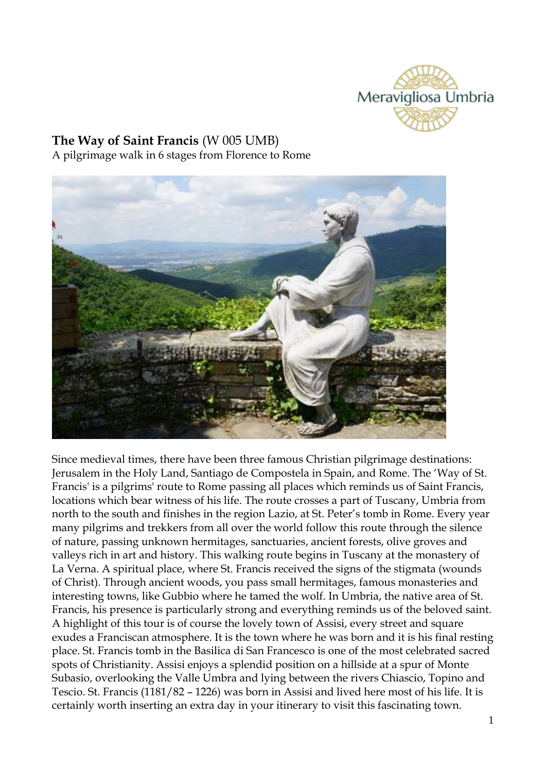

## **The Way of Saint Francis** (W 005 UMB) A pilgrimage walk in 6 stages from Florence to Rome



Since medieval times, there have been three famous Christian pilgrimage destinations: Jerusalem in the Holy Land, Santiago de Compostela in Spain, and Rome. The 'Way of St. Francis' is a pilgrims' route to Rome passing all places which reminds us of Saint Francis, locations which bear witness of his life. The route crosses a part of Tuscany, Umbria from north to the south and finishes in the region Lazio, at St. Peter's tomb in Rome. Every year many pilgrims and trekkers from all over the world follow this route through the silence of nature, passing unknown hermitages, sanctuaries, ancient forests, olive groves and valleys rich in art and history. This walking route begins in Tuscany at the monastery of La Verna. A spiritual place, where St. Francis received the signs of the stigmata (wounds of Christ). Through ancient woods, you pass small hermitages, famous monasteries and interesting towns, like Gubbio where he tamed the wolf. In Umbria, the native area of St. Francis, his presence is particularly strong and everything reminds us of the beloved saint. A highlight of this tour is of course the lovely town of Assisi, every street and square exudes a Franciscan atmosphere. It is the town where he was born and it is his final resting place. St. Francis tomb in the Basilica di San Francesco is one of the most celebrated sacred spots of Christianity. Assisi enjoys a splendid position on a hillside at a spur of Monte Subasio, overlooking the Valle Umbra and lying between the rivers Chiascio, Topino and Tescio. St. Francis (1181/82 – 1226) was born in Assisi and lived here most of his life. It is certainly worth inserting an extra day in your itinerary to visit this fascinating town.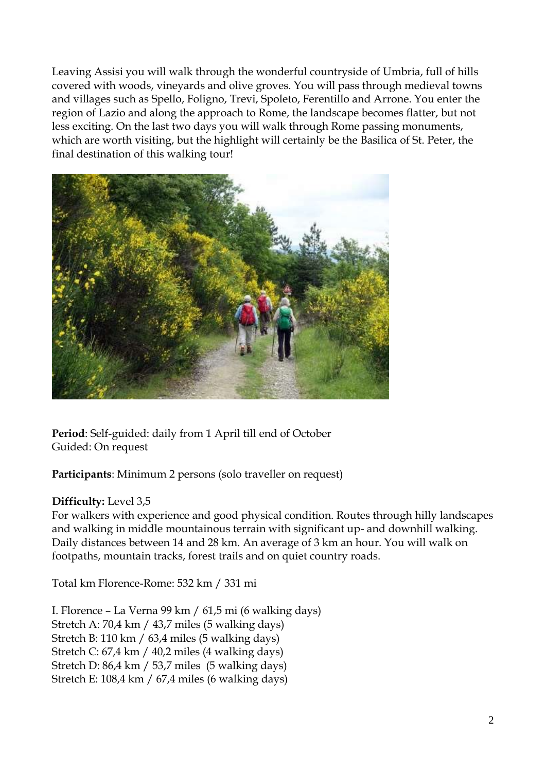Leaving Assisi you will walk through the wonderful countryside of Umbria, full of hills covered with woods, vineyards and olive groves. You will pass through medieval towns and villages such as Spello, Foligno, Trevi, Spoleto, Ferentillo and Arrone. You enter the region of Lazio and along the approach to Rome, the landscape becomes flatter, but not less exciting. On the last two days you will walk through Rome passing monuments, which are worth visiting, but the highlight will certainly be the Basilica of St. Peter, the final destination of this walking tour!



**Period**: Self-guided: daily from 1 April till end of October Guided: On request

**Participants**: Minimum 2 persons (solo traveller on request)

## **Difficulty:** Level 3,5

For walkers with experience and good physical condition. Routes through hilly landscapes and walking in middle mountainous terrain with significant up- and downhill walking. Daily distances between 14 and 28 km. An average of 3 km an hour. You will walk on footpaths, mountain tracks, forest trails and on quiet country roads.

Total km Florence-Rome: 532 km / 331 mi

I. Florence – La Verna 99 km / 61,5 mi (6 walking days) Stretch A: 70,4 km / 43,7 miles (5 walking days) Stretch B: 110 km / 63,4 miles (5 walking days) Stretch C: 67,4 km / 40,2 miles (4 walking days) Stretch D: 86,4 km / 53,7 miles (5 walking days) Stretch E: 108,4 km / 67,4 miles (6 walking days)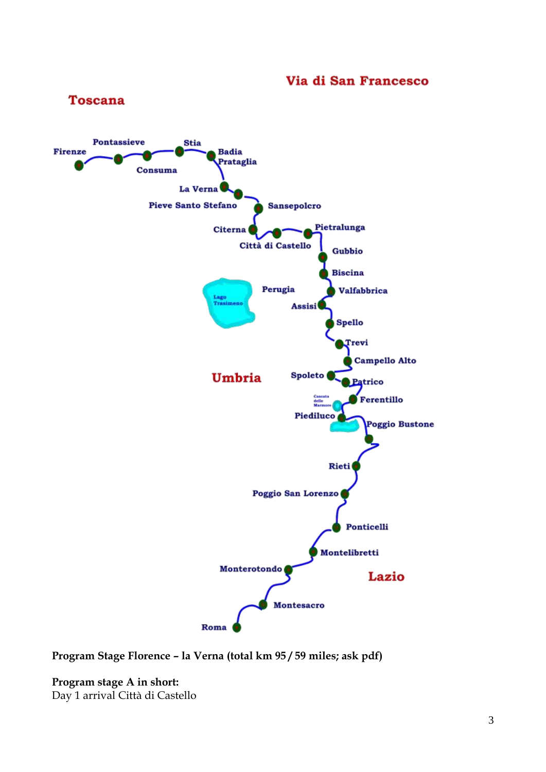## Via di San Francesco



**Program Stage Florence – la Verna (total km 95 / 59 miles; ask pdf)**

**Program stage A in short:** Day 1 arrival Città di Castello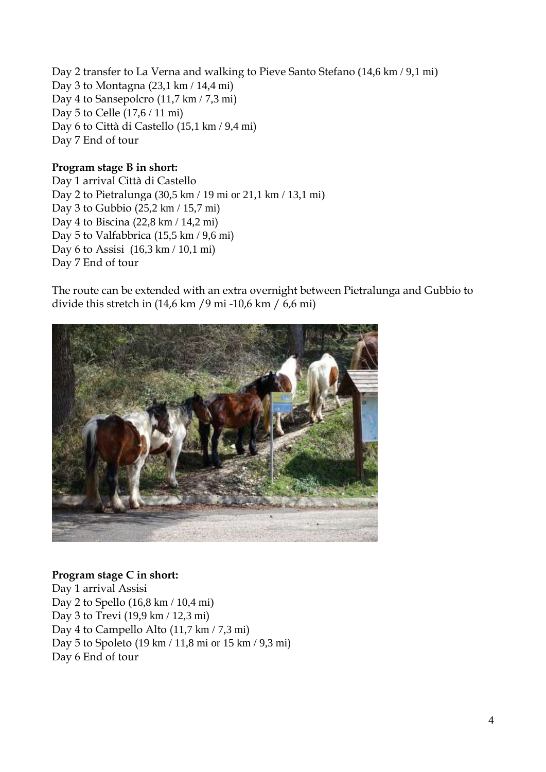Day 2 transfer to La Verna and walking to Pieve Santo Stefano (14,6 km / 9,1 mi) Day 3 to Montagna (23,1 km / 14,4 mi) Day 4 to Sansepolcro (11,7 km / 7,3 mi) Day 5 to Celle (17,6 / 11 mi) Day 6 to Città di Castello (15,1 km / 9,4 mi) Day 7 End of tour

#### **Program stage B in short:**

Day 1 arrival Città di Castello Day 2 to Pietralunga (30,5 km / 19 mi or 21,1 km / 13,1 mi) Day 3 to Gubbio (25,2 km / 15,7 mi) Day 4 to Biscina (22,8 km / 14,2 mi) Day 5 to Valfabbrica (15,5 km / 9,6 mi) Day 6 to Assisi (16,3 km / 10,1 mi) Day 7 End of tour

The route can be extended with an extra overnight between Pietralunga and Gubbio to divide this stretch in (14,6 km /9 mi -10,6 km / 6,6 mi)



#### **Program stage C in short:**

Day 1 arrival Assisi Day 2 to Spello (16,8 km / 10,4 mi) Day 3 to Trevi (19,9 km / 12,3 mi) Day 4 to Campello Alto (11,7 km / 7,3 mi) Day 5 to Spoleto (19 km / 11,8 mi or 15 km / 9,3 mi) Day 6 End of tour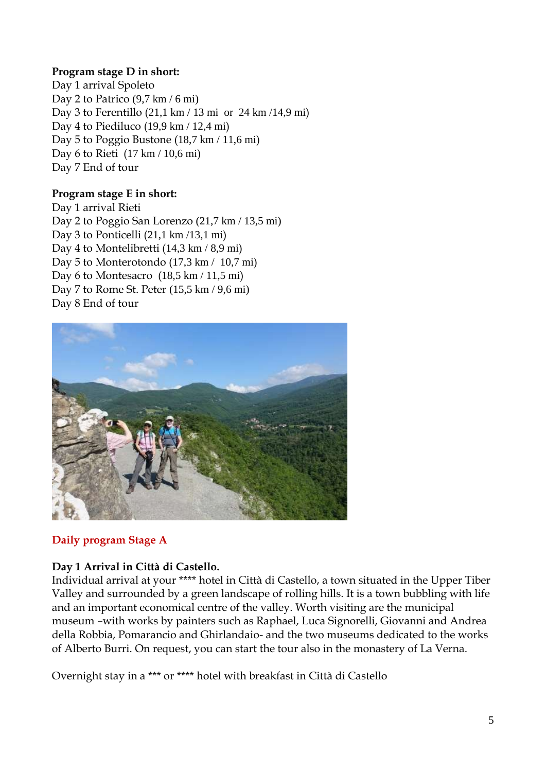#### **Program stage D in short:**

Day 1 arrival Spoleto Day 2 to Patrico (9,7 km / 6 mi) Day 3 to Ferentillo (21,1 km / 13 mi or 24 km /14,9 mi) Day 4 to Piediluco (19,9 km / 12,4 mi) Day 5 to Poggio Bustone (18,7 km / 11,6 mi) Day 6 to Rieti (17 km / 10,6 mi) Day 7 End of tour

## **Program stage E in short:**

Day 1 arrival Rieti Day 2 to Poggio San Lorenzo (21,7 km / 13,5 mi) Day 3 to Ponticelli (21,1 km /13,1 mi) Day 4 to Montelibretti (14,3 km / 8,9 mi) Day 5 to Monterotondo (17,3 km / 10,7 mi) Day 6 to Montesacro (18,5 km / 11,5 mi) Day 7 to Rome St. Peter (15,5 km / 9,6 mi) Day 8 End of tour



## **Daily program Stage A**

## **Day 1 Arrival in Città di Castello.**

Individual arrival at your \*\*\*\* hotel in Città di Castello, a town situated in the Upper Tiber Valley and surrounded by a green landscape of rolling hills. It is a town bubbling with life and an important economical centre of the valley. Worth visiting are the municipal museum –with works by painters such as Raphael, Luca Signorelli, Giovanni and Andrea della Robbia, Pomarancio and Ghirlandaio- and the two museums dedicated to the works of Alberto Burri. On request, you can start the tour also in the monastery of La Verna.

Overnight stay in a \*\*\* or \*\*\*\* hotel with breakfast in Città di Castello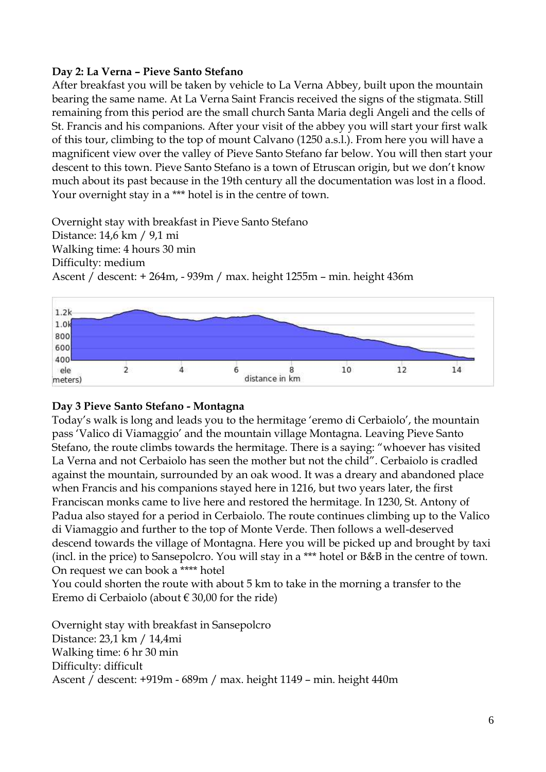#### **Day 2: La Verna – Pieve Santo Stefano**

After breakfast you will be taken by vehicle to La Verna Abbey, built upon the mountain bearing the same name. At La Verna Saint Francis received the signs of the stigmata. Still remaining from this period are the small church Santa Maria degli Angeli and the cells of St. Francis and his companions. After your visit of the abbey you will start your first walk of this tour, climbing to the top of mount Calvano (1250 a.s.l.). From here you will have a magnificent view over the valley of Pieve Santo Stefano far below. You will then start your descent to this town. Pieve Santo Stefano is a town of Etruscan origin, but we don't know much about its past because in the 19th century all the documentation was lost in a flood. Your overnight stay in a \*\*\* hotel is in the centre of town.

Overnight stay with breakfast in Pieve Santo Stefano Distance: 14,6 km / 9,1 mi Walking time: 4 hours 30 min Difficulty: medium Ascent / descent: + 264m, - 939m / max. height 1255m – min. height 436m



## **Day 3 Pieve Santo Stefano - Montagna**

Today's walk is long and leads you to the hermitage 'eremo di Cerbaiolo', the mountain pass 'Valico di Viamaggio' and the mountain village Montagna. Leaving Pieve Santo Stefano, the route climbs towards the hermitage. There is a saying: "whoever has visited La Verna and not Cerbaiolo has seen the mother but not the child". Cerbaiolo is cradled against the mountain, surrounded by an oak wood. It was a dreary and abandoned place when Francis and his companions stayed here in 1216, but two years later, the first Franciscan monks came to live here and restored the hermitage. In 1230, St. Antony of Padua also stayed for a period in Cerbaiolo. The route continues climbing up to the Valico di Viamaggio and further to the top of Monte Verde. Then follows a well-deserved descend towards the village of Montagna. Here you will be picked up and brought by taxi (incl. in the price) to Sansepolcro. You will stay in a \*\*\* hotel or B&B in the centre of town. On request we can book a \*\*\*\* hotel

You could shorten the route with about 5 km to take in the morning a transfer to the Eremo di Cerbaiolo (about  $\in$  30,00 for the ride)

Overnight stay with breakfast in Sansepolcro Distance: 23,1 km / 14,4mi Walking time: 6 hr 30 min Difficulty: difficult Ascent / descent: +919m - 689m / max. height 1149 – min. height 440m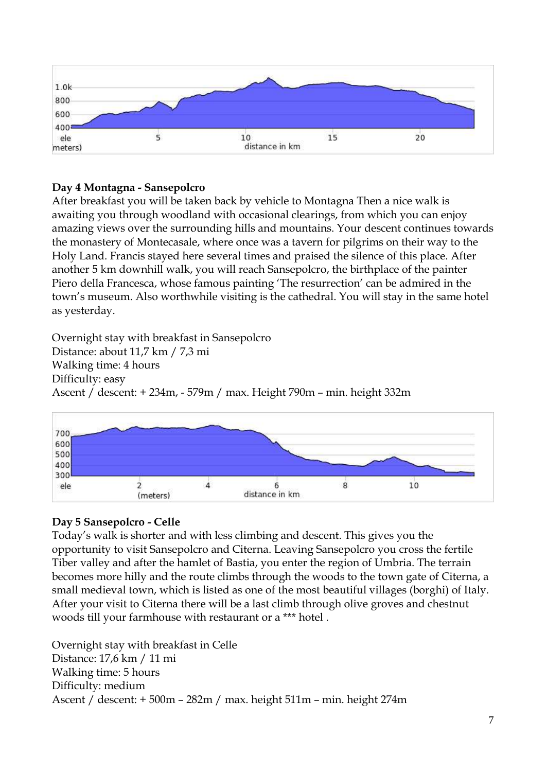

# **Day 4 Montagna - Sansepolcro**

After breakfast you will be taken back by vehicle to Montagna Then a nice walk is awaiting you through woodland with occasional clearings, from which you can enjoy amazing views over the surrounding hills and mountains. Your descent continues towards the monastery of Montecasale, where once was a tavern for pilgrims on their way to the Holy Land. Francis stayed here several times and praised the silence of this place. After another 5 km downhill walk, you will reach Sansepolcro, the birthplace of the painter Piero della Francesca, whose famous painting 'The resurrection' can be admired in the town's museum. Also worthwhile visiting is the cathedral. You will stay in the same hotel as yesterday.

Overnight stay with breakfast in Sansepolcro Distance: about 11,7 km / 7,3 mi Walking time: 4 hours Difficulty: easy Ascent / descent: + 234m, - 579m / max. Height 790m – min. height 332m



# **Day 5 Sansepolcro - Celle**

Today's walk is shorter and with less climbing and descent. This gives you the opportunity to visit Sansepolcro and Citerna. Leaving Sansepolcro you cross the fertile Tiber valley and after the hamlet of Bastia, you enter the region of Umbria. The terrain becomes more hilly and the route climbs through the woods to the town gate of Citerna, a small medieval town, which is listed as one of the most beautiful villages (borghi) of Italy. After your visit to Citerna there will be a last climb through olive groves and chestnut woods till your farmhouse with restaurant or a \*\*\* hotel .

Overnight stay with breakfast in Celle Distance: 17,6 km / 11 mi Walking time: 5 hours Difficulty: medium Ascent / descent: + 500m – 282m / max. height 511m – min. height 274m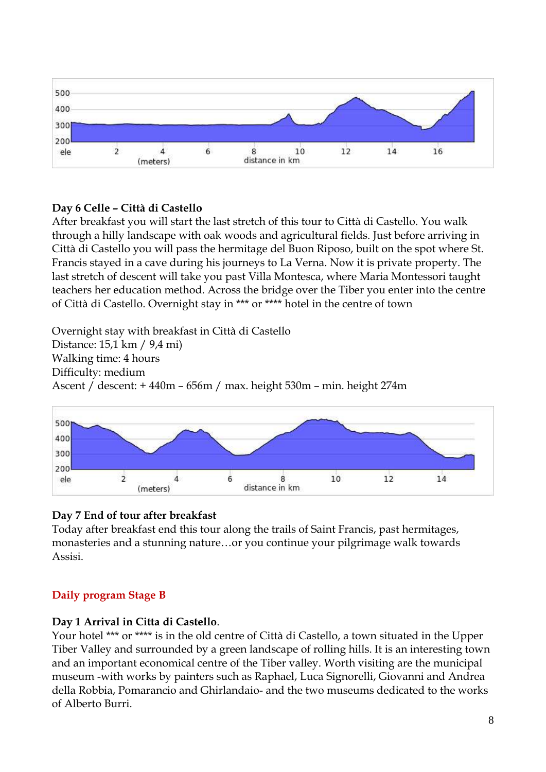

## **Day 6 Celle – Città di Castello**

After breakfast you will start the last stretch of this tour to Città di Castello. You walk through a hilly landscape with oak woods and agricultural fields. Just before arriving in Città di Castello you will pass the hermitage del Buon Riposo, built on the spot where St. Francis stayed in a cave during his journeys to La Verna. Now it is private property. The last stretch of descent will take you past Villa Montesca, where Maria Montessori taught teachers her education method. Across the bridge over the Tiber you enter into the centre of Città di Castello. Overnight stay in \*\*\* or \*\*\*\* hotel in the centre of town

Overnight stay with breakfast in Città di Castello Distance: 15,1 km / 9,4 mi) Walking time: 4 hours Difficulty: medium Ascent / descent: + 440m – 656m / max. height 530m – min. height 274m



## **Day 7 End of tour after breakfast**

Today after breakfast end this tour along the trails of Saint Francis, past hermitages, monasteries and a stunning nature…or you continue your pilgrimage walk towards Assisi.

## **Daily program Stage B**

## **Day 1 Arrival in Citta di Castello**.

Your hotel \*\*\* or \*\*\*\* is in the old centre of Città di Castello, a town situated in the Upper Tiber Valley and surrounded by a green landscape of rolling hills. It is an interesting town and an important economical centre of the Tiber valley. Worth visiting are the municipal museum -with works by painters such as Raphael, Luca Signorelli, Giovanni and Andrea della Robbia, Pomarancio and Ghirlandaio- and the two museums dedicated to the works of Alberto Burri.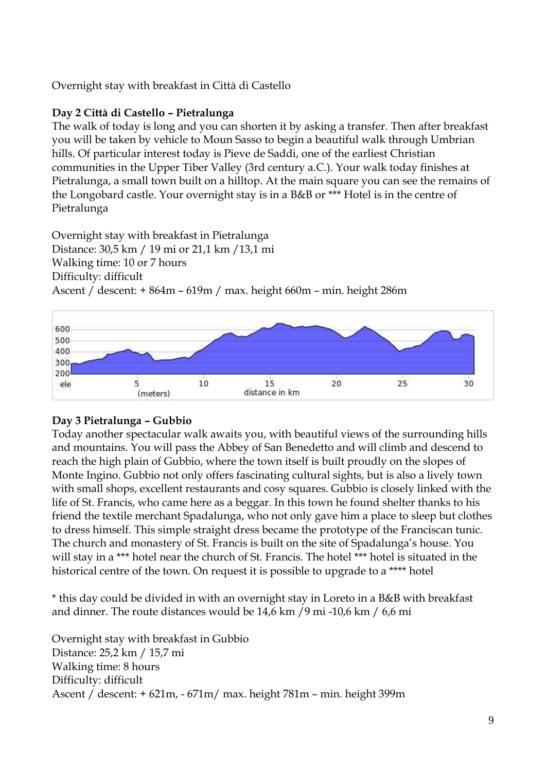Overnight stay with breakfast in Città di Castello

## **Day 2 Città di Castello – Pietralunga**

The walk of today is long and you can shorten it by asking a transfer. Then after breakfast you will be taken by vehicle to Moun Sasso to begin a beautiful walk through Umbrian hills. Of particular interest today is Pieve de Saddi, one of the earliest Christian communities in the Upper Tiber Valley (3rd century a.C.). Your walk today finishes at Pietralunga, a small town built on a hilltop. At the main square you can see the remains of the Longobard castle. Your overnight stay is in a B&B or \*\*\* Hotel is in the centre of Pietralunga

Overnight stay with breakfast in Pietralunga Distance: 30,5 km / 19 mi or 21,1 km /13,1 mi Walking time: 10 or 7 hours Difficulty: difficult Ascent / descent: + 864m – 619m / max. height 660m – min. height 286m



## **Day 3 Pietralunga – Gubbio**

Today another spectacular walk awaits you, with beautiful views of the surrounding hills and mountains. You will pass the Abbey of San Benedetto and will climb and descend to reach the high plain of Gubbio, where the town itself is built proudly on the slopes of Monte Ingino. Gubbio not only offers fascinating cultural sights, but is also a lively town with small shops, excellent restaurants and cosy squares. Gubbio is closely linked with the life of St. Francis, who came here as a beggar. In this town he found shelter thanks to his friend the textile merchant Spadalunga, who not only gave him a place to sleep but clothes to dress himself. This simple straight dress became the prototype of the Franciscan tunic. The church and monastery of St. Francis is built on the site of Spadalunga's house. You will stay in a \*\*\* hotel near the church of St. Francis. The hotel \*\*\* hotel is situated in the historical centre of the town. On request it is possible to upgrade to a \*\*\*\* hotel

\* this day could be divided in with an overnight stay in Loreto in a B&B with breakfast and dinner. The route distances would be 14,6 km /9 mi -10,6 km / 6,6 mi

Overnight stay with breakfast in Gubbio Distance: 25,2 km / 15,7 mi Walking time: 8 hours Difficulty: difficult Ascent / descent: + 621m, - 671m/ max. height 781m – min. height 399m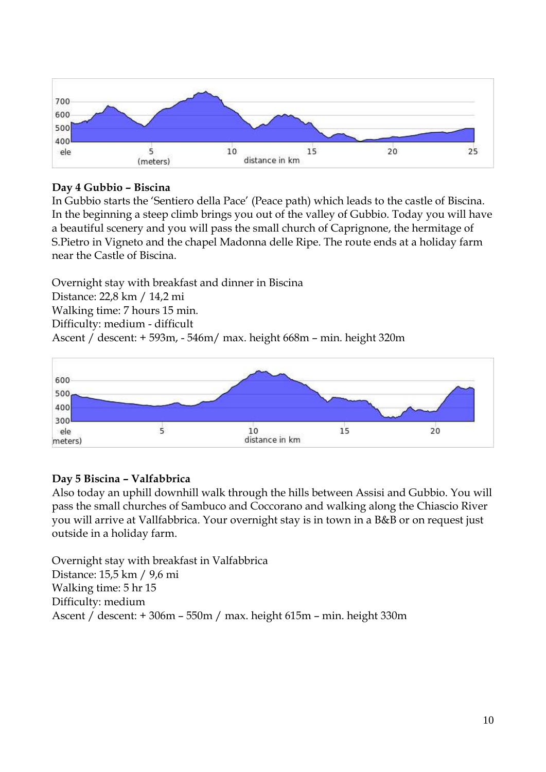

## **Day 4 Gubbio – Biscina**

In Gubbio starts the 'Sentiero della Pace' (Peace path) which leads to the castle of Biscina. In the beginning a steep climb brings you out of the valley of Gubbio. Today you will have a beautiful scenery and you will pass the small church of Caprignone, the hermitage of S.Pietro in Vigneto and the chapel Madonna delle Ripe. The route ends at a holiday farm near the Castle of Biscina.

Overnight stay with breakfast and dinner in Biscina

Distance: 22,8 km / 14,2 mi

Walking time: 7 hours 15 min.

Difficulty: medium - difficult

Ascent / descent: + 593m, - 546m/ max. height 668m – min. height 320m



## **Day 5 Biscina – Valfabbrica**

Also today an uphill downhill walk through the hills between Assisi and Gubbio. You will pass the small churches of Sambuco and Coccorano and walking along the Chiascio River you will arrive at Vallfabbrica. Your overnight stay is in town in a B&B or on request just outside in a holiday farm.

Overnight stay with breakfast in Valfabbrica Distance: 15,5 km / 9,6 mi Walking time: 5 hr 15 Difficulty: medium Ascent / descent: + 306m – 550m / max. height 615m – min. height 330m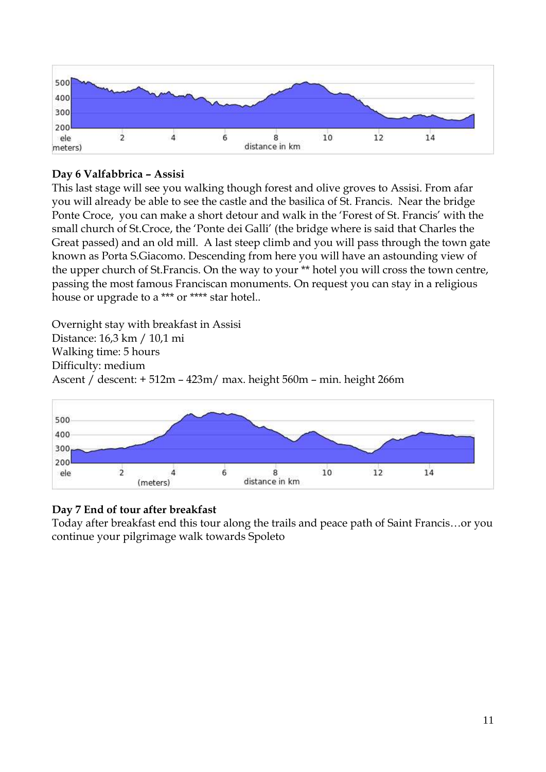

## **Day 6 Valfabbrica – Assisi**

This last stage will see you walking though forest and olive groves to Assisi. From afar you will already be able to see the castle and the basilica of St. Francis. Near the bridge Ponte Croce, you can make a short detour and walk in the 'Forest of St. Francis' with the small church of St.Croce, the 'Ponte dei Galli' (the bridge where is said that Charles the Great passed) and an old mill. A last steep climb and you will pass through the town gate known as Porta S.Giacomo. Descending from here you will have an astounding view of the upper church of St.Francis. On the way to your \*\* hotel you will cross the town centre, passing the most famous Franciscan monuments. On request you can stay in a religious house or upgrade to a \*\*\* or \*\*\*\* star hotel..

Overnight stay with breakfast in Assisi Distance: 16,3 km / 10,1 mi Walking time: 5 hours Difficulty: medium Ascent / descent: + 512m – 423m/ max. height 560m – min. height 266m



## **Day 7 End of tour after breakfast**

Today after breakfast end this tour along the trails and peace path of Saint Francis…or you continue your pilgrimage walk towards Spoleto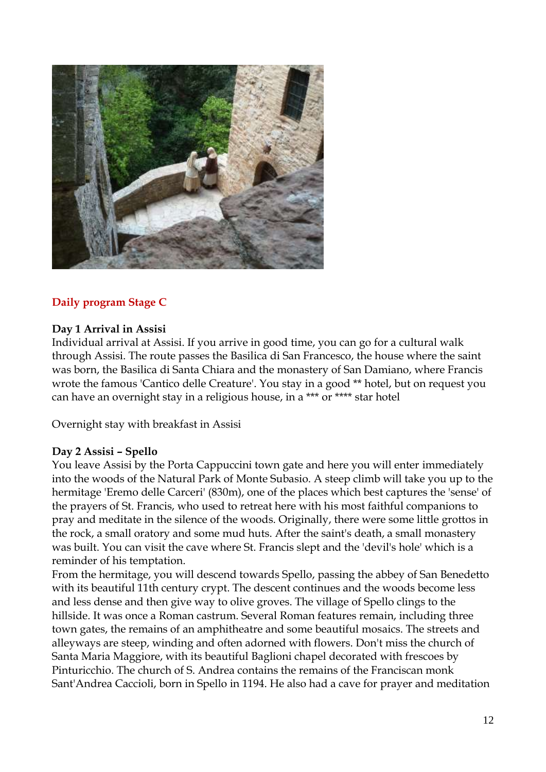

## **Daily program Stage C**

#### **Day 1 Arrival in Assisi**

Individual arrival at Assisi. If you arrive in good time, you can go for a cultural walk through Assisi. The route passes the Basilica di San Francesco, the house where the saint was born, the Basilica di Santa Chiara and the monastery of San Damiano, where Francis wrote the famous 'Cantico delle Creature'. You stay in a good \*\* hotel, but on request you can have an overnight stay in a religious house, in a \*\*\* or \*\*\*\* star hotel

Overnight stay with breakfast in Assisi

#### **Day 2 Assisi – Spello**

You leave Assisi by the Porta Cappuccini town gate and here you will enter immediately into the woods of the Natural Park of Monte Subasio. A steep climb will take you up to the hermitage 'Eremo delle Carceri' (830m), one of the places which best captures the 'sense' of the prayers of St. Francis, who used to retreat here with his most faithful companions to pray and meditate in the silence of the woods. Originally, there were some little grottos in the rock, a small oratory and some mud huts. After the saint's death, a small monastery was built. You can visit the cave where St. Francis slept and the 'devil's hole' which is a reminder of his temptation.

From the hermitage, you will descend towards Spello, passing the abbey of San Benedetto with its beautiful 11th century crypt. The descent continues and the woods become less and less dense and then give way to olive groves. The village of Spello clings to the hillside. It was once a Roman castrum. Several Roman features remain, including three town gates, the remains of an amphitheatre and some beautiful mosaics. The streets and alleyways are steep, winding and often adorned with flowers. Don't miss the church of Santa Maria Maggiore, with its beautiful Baglioni chapel decorated with frescoes by Pinturicchio. The church of S. Andrea contains the remains of the Franciscan monk Sant'Andrea Caccioli, born in Spello in 1194. He also had a cave for prayer and meditation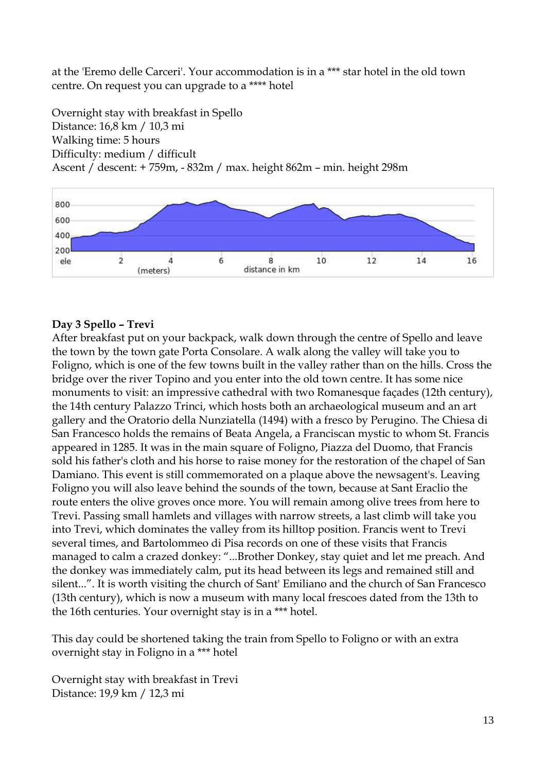at the 'Eremo delle Carceri'. Your accommodation is in a \*\*\* star hotel in the old town centre. On request you can upgrade to a \*\*\*\* hotel

Overnight stay with breakfast in Spello Distance: 16,8 km / 10,3 mi Walking time: 5 hours Difficulty: medium / difficult Ascent / descent: + 759m, - 832m / max. height 862m – min. height 298m



## **Day 3 Spello – Trevi**

After breakfast put on your backpack, walk down through the centre of Spello and leave the town by the town gate Porta Consolare. A walk along the valley will take you to Foligno, which is one of the few towns built in the valley rather than on the hills. Cross the bridge over the river Topino and you enter into the old town centre. It has some nice monuments to visit: an impressive cathedral with two Romanesque façades (12th century), the 14th century Palazzo Trinci, which hosts both an archaeological museum and an art gallery and the Oratorio della Nunziatella (1494) with a fresco by Perugino. The Chiesa di San Francesco holds the remains of Beata Angela, a Franciscan mystic to whom St. Francis appeared in 1285. It was in the main square of Foligno, Piazza del Duomo, that Francis sold his father's cloth and his horse to raise money for the restoration of the chapel of San Damiano. This event is still commemorated on a plaque above the newsagent's. Leaving Foligno you will also leave behind the sounds of the town, because at Sant Eraclio the route enters the olive groves once more. You will remain among olive trees from here to Trevi. Passing small hamlets and villages with narrow streets, a last climb will take you into Trevi, which dominates the valley from its hilltop position. Francis went to Trevi several times, and Bartolommeo di Pisa records on one of these visits that Francis managed to calm a crazed donkey: "...Brother Donkey, stay quiet and let me preach. And the donkey was immediately calm, put its head between its legs and remained still and silent...". It is worth visiting the church of Sant' Emiliano and the church of San Francesco (13th century), which is now a museum with many local frescoes dated from the 13th to the 16th centuries. Your overnight stay is in a \*\*\* hotel.

This day could be shortened taking the train from Spello to Foligno or with an extra overnight stay in Foligno in a \*\*\* hotel

Overnight stay with breakfast in Trevi Distance: 19,9 km / 12,3 mi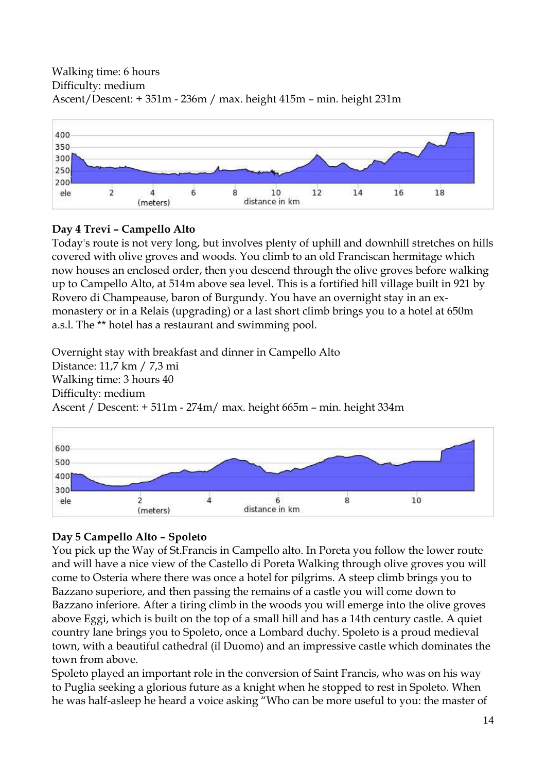## Walking time: 6 hours Difficulty: medium Ascent/Descent: + 351m - 236m / max. height 415m – min. height 231m



## **Day 4 Trevi – Campello Alto**

Today's route is not very long, but involves plenty of uphill and downhill stretches on hills covered with olive groves and woods. You climb to an old Franciscan hermitage which now houses an enclosed order, then you descend through the olive groves before walking up to Campello Alto, at 514m above sea level. This is a fortified hill village built in 921 by Rovero di Champeause, baron of Burgundy. You have an overnight stay in an exmonastery or in a Relais (upgrading) or a last short climb brings you to a hotel at 650m a.s.l. The \*\* hotel has a restaurant and swimming pool.

Overnight stay with breakfast and dinner in Campello Alto Distance: 11,7 km / 7,3 mi Walking time: 3 hours 40 Difficulty: medium Ascent / Descent: + 511m - 274m/ max. height 665m – min. height 334m



# **Day 5 Campello Alto – Spoleto**

You pick up the Way of St.Francis in Campello alto. In Poreta you follow the lower route and will have a nice view of the Castello di Poreta Walking through olive groves you will come to Osteria where there was once a hotel for pilgrims. A steep climb brings you to Bazzano superiore, and then passing the remains of a castle you will come down to Bazzano inferiore. After a tiring climb in the woods you will emerge into the olive groves above Eggi, which is built on the top of a small hill and has a 14th century castle. A quiet country lane brings you to Spoleto, once a Lombard duchy. Spoleto is a proud medieval town, with a beautiful cathedral (il Duomo) and an impressive castle which dominates the town from above.

Spoleto played an important role in the conversion of Saint Francis, who was on his way to Puglia seeking a glorious future as a knight when he stopped to rest in Spoleto. When he was half-asleep he heard a voice asking "Who can be more useful to you: the master of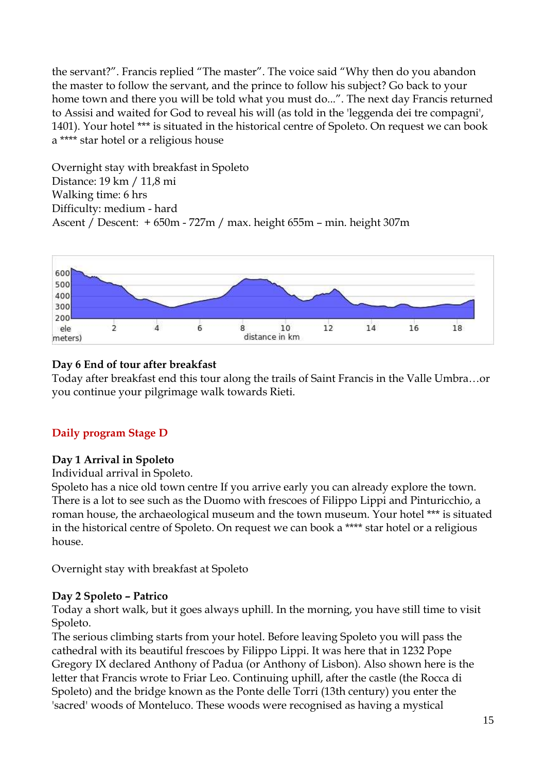the servant?". Francis replied "The master". The voice said "Why then do you abandon the master to follow the servant, and the prince to follow his subject? Go back to your home town and there you will be told what you must do...". The next day Francis returned to Assisi and waited for God to reveal his will (as told in the 'leggenda dei tre compagni', 1401). Your hotel \*\*\* is situated in the historical centre of Spoleto. On request we can book a \*\*\*\* star hotel or a religious house

Overnight stay with breakfast in Spoleto Distance: 19 km / 11,8 mi Walking time: 6 hrs Difficulty: medium - hard Ascent / Descent: + 650m - 727m / max. height 655m – min. height 307m



## **Day 6 End of tour after breakfast**

Today after breakfast end this tour along the trails of Saint Francis in the Valle Umbra…or you continue your pilgrimage walk towards Rieti.

## **Daily program Stage D**

## **Day 1 Arrival in Spoleto**

Individual arrival in Spoleto.

Spoleto has a nice old town centre If you arrive early you can already explore the town. There is a lot to see such as the Duomo with frescoes of Filippo Lippi and Pinturicchio, a roman house, the archaeological museum and the town museum. Your hotel \*\*\* is situated in the historical centre of Spoleto. On request we can book a \*\*\*\* star hotel or a religious house.

Overnight stay with breakfast at Spoleto

## **Day 2 Spoleto – Patrico**

Today a short walk, but it goes always uphill. In the morning, you have still time to visit Spoleto.

The serious climbing starts from your hotel. Before leaving Spoleto you will pass the cathedral with its beautiful frescoes by Filippo Lippi. It was here that in 1232 Pope Gregory IX declared Anthony of Padua (or Anthony of Lisbon). Also shown here is the letter that Francis wrote to Friar Leo. Continuing uphill, after the castle (the Rocca di Spoleto) and the bridge known as the Ponte delle Torri (13th century) you enter the 'sacred' woods of Monteluco. These woods were recognised as having a mystical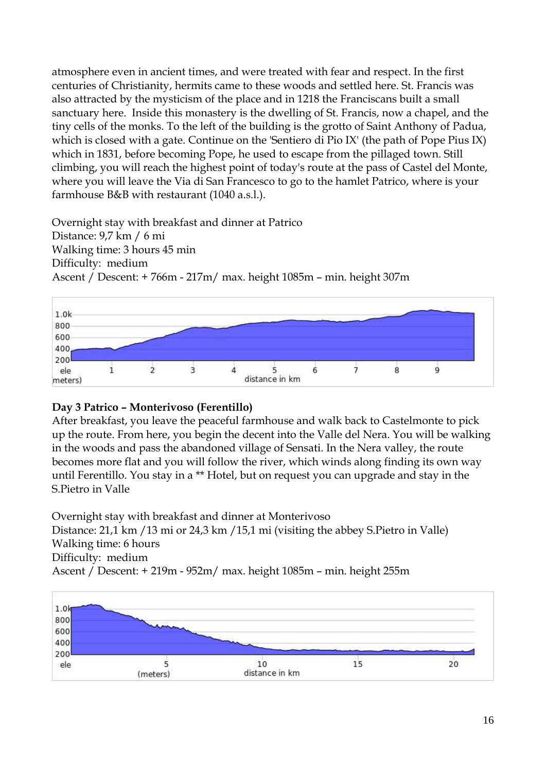atmosphere even in ancient times, and were treated with fear and respect. In the first centuries of Christianity, hermits came to these woods and settled here. St. Francis was also attracted by the mysticism of the place and in 1218 the Franciscans built a small sanctuary here. Inside this monastery is the dwelling of St. Francis, now a chapel, and the tiny cells of the monks. To the left of the building is the grotto of Saint Anthony of Padua, which is closed with a gate. Continue on the 'Sentiero di Pio IX' (the path of Pope Pius IX) which in 1831, before becoming Pope, he used to escape from the pillaged town. Still climbing, you will reach the highest point of today's route at the pass of Castel del Monte, where you will leave the Via di San Francesco to go to the hamlet Patrico, where is your farmhouse B&B with restaurant (1040 a.s.l.).

Overnight stay with breakfast and dinner at Patrico Distance: 9,7 km / 6 mi Walking time: 3 hours 45 min Difficulty: medium Ascent / Descent: + 766m - 217m/ max. height 1085m – min. height 307m



## **Day 3 Patrico – Monterivoso (Ferentillo)**

After breakfast, you leave the peaceful farmhouse and walk back to Castelmonte to pick up the route. From here, you begin the decent into the Valle del Nera. You will be walking in the woods and pass the abandoned village of Sensati. In the Nera valley, the route becomes more flat and you will follow the river, which winds along finding its own way until Ferentillo. You stay in a \*\* Hotel, but on request you can upgrade and stay in the S.Pietro in Valle

Overnight stay with breakfast and dinner at Monterivoso Distance: 21,1 km /13 mi or 24,3 km /15,1 mi (visiting the abbey S.Pietro in Valle) Walking time: 6 hours Difficulty: medium Ascent / Descent: + 219m - 952m/ max. height 1085m – min. height 255m

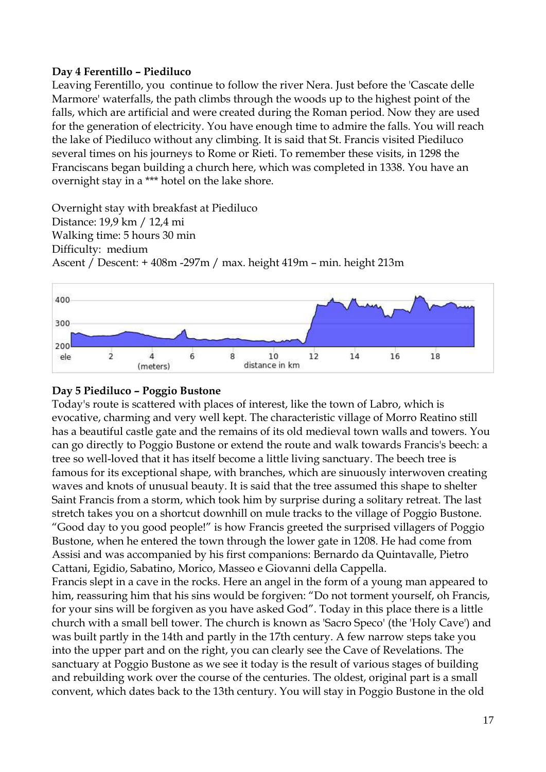#### **Day 4 Ferentillo – Piediluco**

Leaving Ferentillo, you continue to follow the river Nera. Just before the 'Cascate delle Marmore' waterfalls, the path climbs through the woods up to the highest point of the falls, which are artificial and were created during the Roman period. Now they are used for the generation of electricity. You have enough time to admire the falls. You will reach the lake of Piediluco without any climbing. It is said that St. Francis visited Piediluco several times on his journeys to Rome or Rieti. To remember these visits, in 1298 the Franciscans began building a church here, which was completed in 1338. You have an overnight stay in a \*\*\* hotel on the lake shore.

Overnight stay with breakfast at Piediluco Distance: 19,9 km / 12,4 mi Walking time: 5 hours 30 min Difficulty: medium Ascent / Descent: + 408m -297m / max. height 419m – min. height 213m



## **Day 5 Piediluco – Poggio Bustone**

Today's route is scattered with places of interest, like the town of Labro, which is evocative, charming and very well kept. The characteristic village of Morro Reatino still has a beautiful castle gate and the remains of its old medieval town walls and towers. You can go directly to Poggio Bustone or extend the route and walk towards Francis's beech: a tree so well-loved that it has itself become a little living sanctuary. The beech tree is famous for its exceptional shape, with branches, which are sinuously interwoven creating waves and knots of unusual beauty. It is said that the tree assumed this shape to shelter Saint Francis from a storm, which took him by surprise during a solitary retreat. The last stretch takes you on a shortcut downhill on mule tracks to the village of Poggio Bustone. "Good day to you good people!" is how Francis greeted the surprised villagers of Poggio Bustone, when he entered the town through the lower gate in 1208. He had come from Assisi and was accompanied by his first companions: Bernardo da Quintavalle, Pietro Cattani, Egidio, Sabatino, Morico, Masseo e Giovanni della Cappella.

Francis slept in a cave in the rocks. Here an angel in the form of a young man appeared to him, reassuring him that his sins would be forgiven: "Do not torment yourself, oh Francis, for your sins will be forgiven as you have asked God". Today in this place there is a little church with a small bell tower. The church is known as 'Sacro Speco' (the 'Holy Cave') and was built partly in the 14th and partly in the 17th century. A few narrow steps take you into the upper part and on the right, you can clearly see the Cave of Revelations. The sanctuary at Poggio Bustone as we see it today is the result of various stages of building and rebuilding work over the course of the centuries. The oldest, original part is a small convent, which dates back to the 13th century. You will stay in Poggio Bustone in the old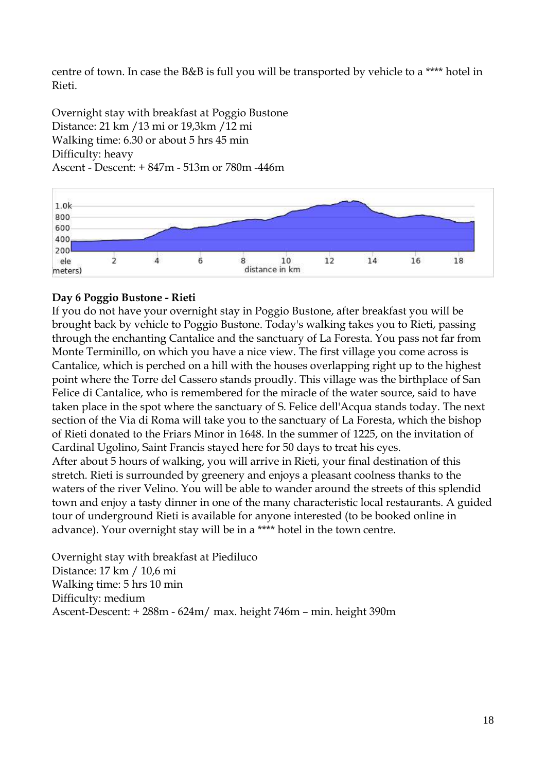centre of town. In case the B&B is full you will be transported by vehicle to a \*\*\*\* hotel in Rieti.

Overnight stay with breakfast at Poggio Bustone Distance: 21 km /13 mi or 19,3km /12 mi Walking time: 6.30 or about 5 hrs 45 min Difficulty: heavy Ascent - Descent: + 847m - 513m or 780m -446m



## **Day 6 Poggio Bustone - Rieti**

If you do not have your overnight stay in Poggio Bustone, after breakfast you will be brought back by vehicle to Poggio Bustone. Today's walking takes you to Rieti, passing through the enchanting Cantalice and the sanctuary of La Foresta. You pass not far from Monte Terminillo, on which you have a nice view. The first village you come across is Cantalice, which is perched on a hill with the houses overlapping right up to the highest point where the Torre del Cassero stands proudly. This village was the birthplace of San Felice di Cantalice, who is remembered for the miracle of the water source, said to have taken place in the spot where the sanctuary of S. Felice dell'Acqua stands today. The next section of the Via di Roma will take you to the sanctuary of La Foresta, which the bishop of Rieti donated to the Friars Minor in 1648. In the summer of 1225, on the invitation of Cardinal Ugolino, Saint Francis stayed here for 50 days to treat his eyes. After about 5 hours of walking, you will arrive in Rieti, your final destination of this stretch. Rieti is surrounded by greenery and enjoys a pleasant coolness thanks to the waters of the river Velino. You will be able to wander around the streets of this splendid town and enjoy a tasty dinner in one of the many characteristic local restaurants. A guided tour of underground Rieti is available for anyone interested (to be booked online in advance). Your overnight stay will be in a \*\*\*\* hotel in the town centre.

Overnight stay with breakfast at Piediluco Distance: 17 km / 10,6 mi Walking time: 5 hrs 10 min Difficulty: medium Ascent-Descent: + 288m - 624m/ max. height 746m – min. height 390m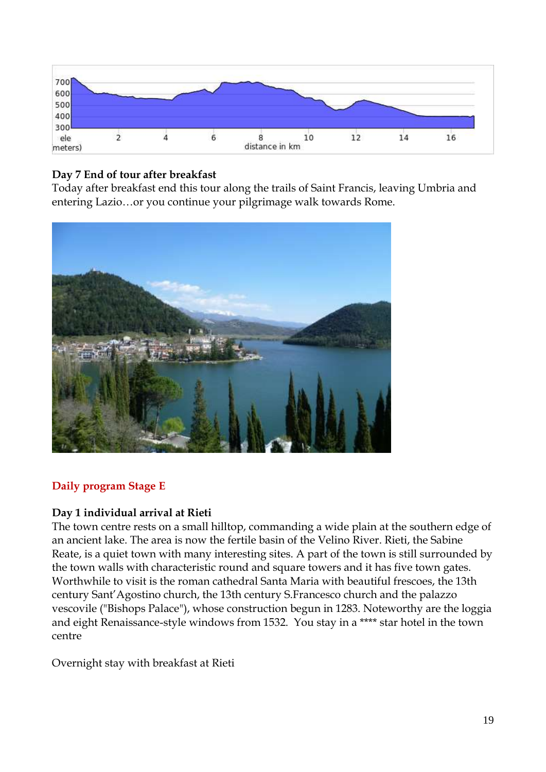

## **Day 7 End of tour after breakfast**

Today after breakfast end this tour along the trails of Saint Francis, leaving Umbria and entering Lazio…or you continue your pilgrimage walk towards Rome.



## **Daily program Stage E**

## **Day 1 individual arrival at Rieti**

The town centre rests on a small hilltop, commanding a wide plain at the southern edge of an ancient lake. The area is now the fertile basin of the Velino River. Rieti, the Sabine Reate, is a quiet town with many interesting sites. A part of the town is still surrounded by the town walls with characteristic round and square towers and it has five town gates. Worthwhile to visit is the roman cathedral Santa Maria with beautiful frescoes, the 13th century Sant'Agostino church, the 13th century S.Francesco church and the palazzo vescovile ("Bishops Palace"), whose construction begun in 1283. Noteworthy are the loggia and eight Renaissance-style windows from 1532. You stay in a \*\*\*\* star hotel in the town centre

Overnight stay with breakfast at Rieti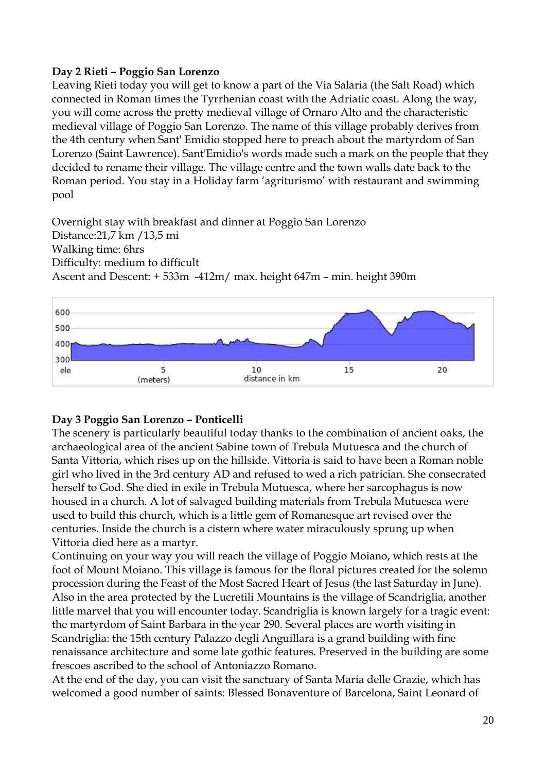## **Day 2 Rieti – Poggio San Lorenzo**

Leaving Rieti today you will get to know a part of the Via Salaria (the Salt Road) which connected in Roman times the Tyrrhenian coast with the Adriatic coast. Along the way, you will come across the pretty medieval village of Ornaro Alto and the characteristic medieval village of Poggio San Lorenzo. The name of this village probably derives from the 4th century when Sant' Emidio stopped here to preach about the martyrdom of San Lorenzo (Saint Lawrence). Sant'Emidio's words made such a mark on the people that they decided to rename their village. The village centre and the town walls date back to the Roman period. You stay in a Holiday farm 'agriturismo' with restaurant and swimming pool

Overnight stay with breakfast and dinner at Poggio San Lorenzo Distance:21,7 km /13,5 mi Walking time: 6hrs Difficulty: medium to difficult Ascent and Descent: + 533m -412m/ max. height 647m – min. height 390m



## **Day 3 Poggio San Lorenzo – Ponticelli**

The scenery is particularly beautiful today thanks to the combination of ancient oaks, the archaeological area of the ancient Sabine town of Trebula Mutuesca and the church of Santa Vittoria, which rises up on the hillside. Vittoria is said to have been a Roman noble girl who lived in the 3rd century AD and refused to wed a rich patrician. She consecrated herself to God. She died in exile in Trebula Mutuesca, where her sarcophagus is now housed in a church. A lot of salvaged building materials from Trebula Mutuesca were used to build this church, which is a little gem of Romanesque art revised over the centuries. Inside the church is a cistern where water miraculously sprung up when Vittoria died here as a martyr.

Continuing on your way you will reach the village of Poggio Moiano, which rests at the foot of Mount Moiano. This village is famous for the floral pictures created for the solemn procession during the Feast of the Most Sacred Heart of Jesus (the last Saturday in June). Also in the area protected by the Lucretili Mountains is the village of Scandriglia, another little marvel that you will encounter today. Scandriglia is known largely for a tragic event: the martyrdom of Saint Barbara in the year 290. Several places are worth visiting in Scandriglia: the 15th century Palazzo degli Anguillara is a grand building with fine renaissance architecture and some late gothic features. Preserved in the building are some frescoes ascribed to the school of Antoniazzo Romano.

At the end of the day, you can visit the sanctuary of Santa Maria delle Grazie, which has welcomed a good number of saints: Blessed Bonaventure of Barcelona, Saint Leonard of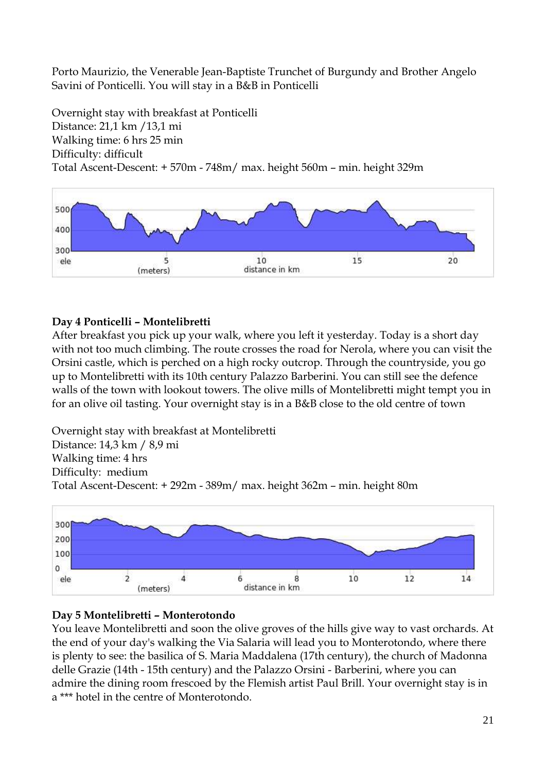Porto Maurizio, the Venerable Jean-Baptiste Trunchet of Burgundy and Brother Angelo Savini of Ponticelli. You will stay in a B&B in Ponticelli

Overnight stay with breakfast at Ponticelli Distance: 21,1 km /13,1 mi Walking time: 6 hrs 25 min Difficulty: difficult Total Ascent-Descent: + 570m - 748m/ max. height 560m – min. height 329m



## **Day 4 Ponticelli – Montelibretti**

After breakfast you pick up your walk, where you left it yesterday. Today is a short day with not too much climbing. The route crosses the road for Nerola, where you can visit the Orsini castle, which is perched on a high rocky outcrop. Through the countryside, you go up to Montelibretti with its 10th century Palazzo Barberini. You can still see the defence walls of the town with lookout towers. The olive mills of Montelibretti might tempt you in for an olive oil tasting. Your overnight stay is in a B&B close to the old centre of town

Overnight stay with breakfast at Montelibretti Distance: 14,3 km / 8,9 mi Walking time: 4 hrs Difficulty: medium Total Ascent-Descent: + 292m - 389m/ max. height 362m – min. height 80m



## **Day 5 Montelibretti – Monterotondo**

You leave Montelibretti and soon the olive groves of the hills give way to vast orchards. At the end of your day's walking the Via Salaria will lead you to Monterotondo, where there is plenty to see: the basilica of S. Maria Maddalena (17th century), the church of Madonna delle Grazie (14th - 15th century) and the Palazzo Orsini - Barberini, where you can admire the dining room frescoed by the Flemish artist Paul Brill. Your overnight stay is in a \*\*\* hotel in the centre of Monterotondo.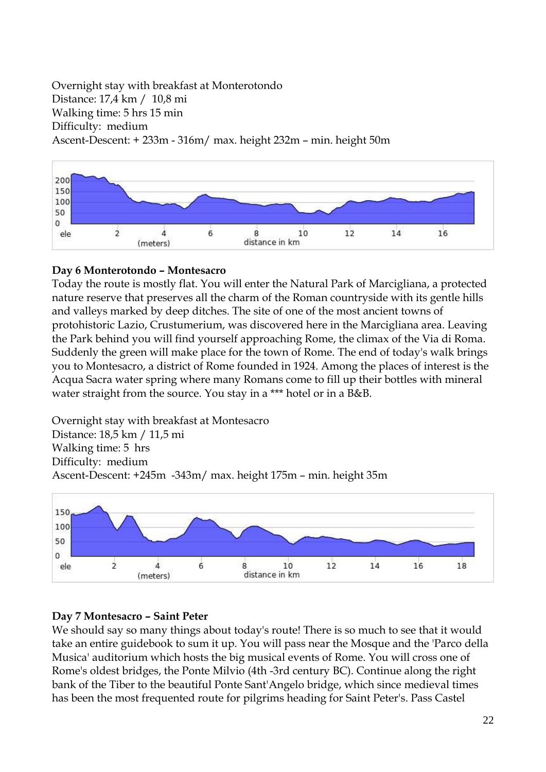Overnight stay with breakfast at Monterotondo Distance: 17,4 km / 10,8 mi Walking time: 5 hrs 15 min Difficulty: medium Ascent-Descent: + 233m - 316m/ max. height 232m – min. height 50m



## **Day 6 Monterotondo – Montesacro**

Today the route is mostly flat. You will enter the Natural Park of Marcigliana, a protected nature reserve that preserves all the charm of the Roman countryside with its gentle hills and valleys marked by deep ditches. The site of one of the most ancient towns of protohistoric Lazio, Crustumerium, was discovered here in the Marcigliana area. Leaving the Park behind you will find yourself approaching Rome, the climax of the Via di Roma. Suddenly the green will make place for the town of Rome. The end of today's walk brings you to Montesacro, a district of Rome founded in 1924. Among the places of interest is the Acqua Sacra water spring where many Romans come to fill up their bottles with mineral water straight from the source. You stay in a \*\*\* hotel or in a B&B.

Overnight stay with breakfast at Montesacro Distance: 18,5 km / 11,5 mi Walking time: 5 hrs Difficulty: medium Ascent-Descent: +245m -343m/ max. height 175m – min. height 35m



## **Day 7 Montesacro – Saint Peter**

We should say so many things about today's route! There is so much to see that it would take an entire guidebook to sum it up. You will pass near the Mosque and the 'Parco della Musica' auditorium which hosts the big musical events of Rome. You will cross one of Rome's oldest bridges, the Ponte Milvio (4th -3rd century BC). Continue along the right bank of the Tiber to the beautiful Ponte Sant'Angelo bridge, which since medieval times has been the most frequented route for pilgrims heading for Saint Peter's. Pass Castel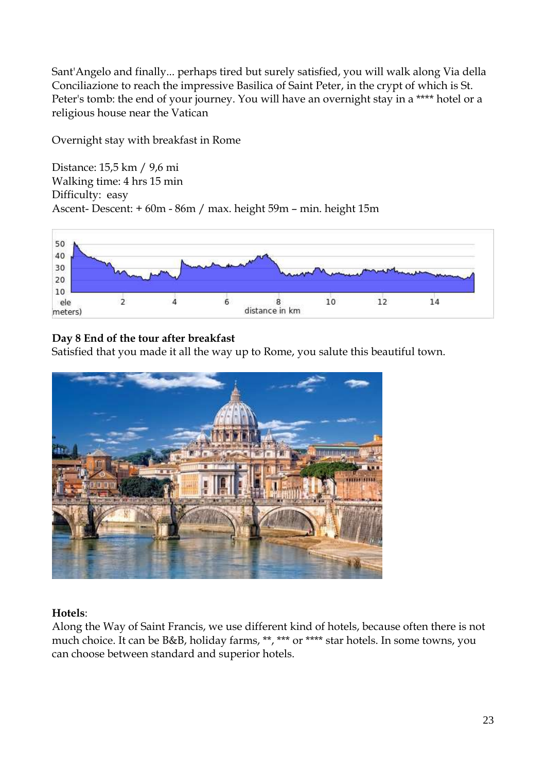Sant'Angelo and finally... perhaps tired but surely satisfied, you will walk along Via della Conciliazione to reach the impressive Basilica of Saint Peter, in the crypt of which is St. Peter's tomb: the end of your journey. You will have an overnight stay in a \*\*\*\* hotel or a religious house near the Vatican

Overnight stay with breakfast in Rome

Distance: 15,5 km / 9,6 mi Walking time: 4 hrs 15 min Difficulty: easy Ascent- Descent: + 60m - 86m / max. height 59m – min. height 15m



## **Day 8 End of the tour after breakfast**

Satisfied that you made it all the way up to Rome, you salute this beautiful town.



## **Hotels**:

Along the Way of Saint Francis, we use different kind of hotels, because often there is not much choice. It can be B&B, holiday farms, \*\*, \*\*\* or \*\*\*\* star hotels. In some towns, you can choose between standard and superior hotels.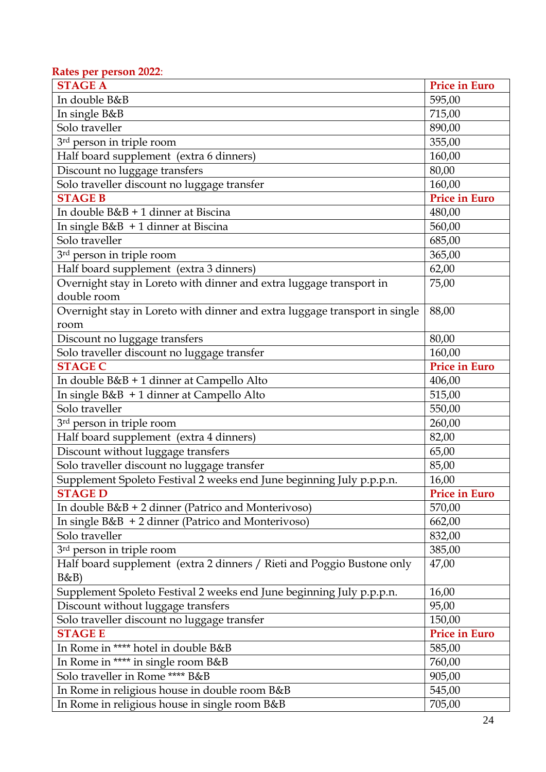#### **Rates per person 2022**: **STAGE A** Price in Euro In double B&B 595,00 In single B&B 715,00 Solo traveller 890,00 3rd person in triple room 3rd 955,00 Half board supplement (extra 6 dinners) 160,00 Discount no luggage transfers 80,00 Solo traveller discount no luggage transfer 160,00 **STAGE B Price in Euro** In double B&B + 1 dinner at Biscina 480,00 In single B&B + 1 dinner at Biscina 560,00 Solo traveller 685,00  $3<sup>rd</sup>$  person in triple room  $365,00$ Half board supplement (extra 3 dinners) 62,00 Overnight stay in Loreto with dinner and extra luggage transport in double room 75,00 Overnight stay in Loreto with dinner and extra luggage transport in single room 88,00 Discount no luggage transfers 80,00 Solo traveller discount no luggage transfer 160,00 **STAGE C Price in Euro** In double B&B + 1 dinner at Campello Alto 406,00 In single B&B + 1 dinner at Campello Alto 515,00 Solo traveller 550,00  $3<sup>rd</sup>$  person in triple room  $260,00$ Half board supplement (extra 4 dinners) 82,00 Discount without luggage transfers 65,00 Solo traveller discount no luggage transfer 85,00 Supplement Spoleto Festival 2 weeks end June beginning July p.p.p.n. 16,00 **STAGE D Price in Euro** In double B&B + 2 dinner (Patrico and Monterivoso) 570,00 In single B&B + 2 dinner (Patrico and Monterivoso) 662,00 Solo traveller 832,00  $3<sup>rd</sup>$  person in triple room  $385,00$ Half board supplement (extra 2 dinners / Rieti and Poggio Bustone only B&B) 47,00 Supplement Spoleto Festival 2 weeks end June beginning July p.p.p.n. 16,00 Discount without luggage transfers 195,00 Solo traveller discount no luggage transfer 150,00 **STAGE E Price in Euro** In Rome in \*\*\*\* hotel in double B&B 585,00 In Rome in \*\*\*\* in single room B&B 760,00 Solo traveller in Rome \*\*\*\* B&B 905,00 In Rome in religious house in double room B&B 545,00 In Rome in religious house in single room B&B 705,00